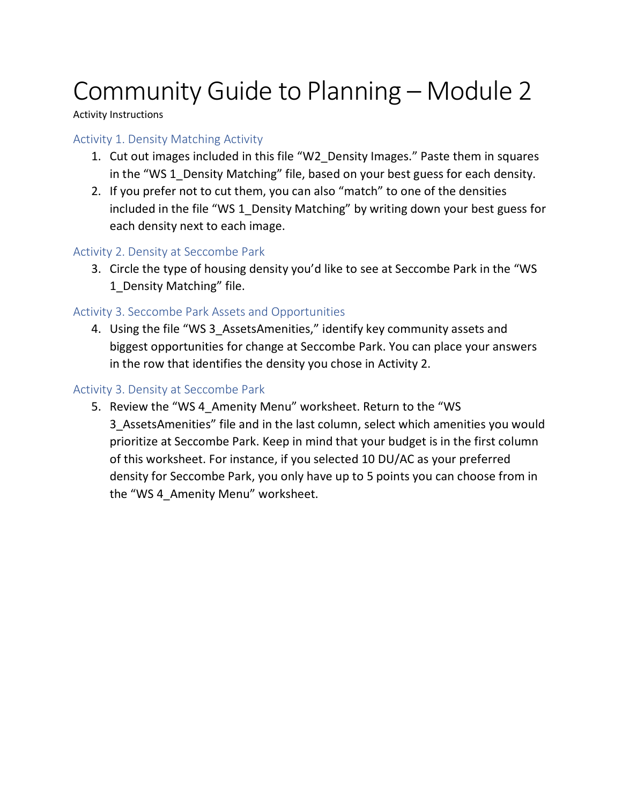# Community Guide to Planning – Module 2

#### Activity Instructions

### Activity 1. Density Matching Activity

- 1. Cut out images included in this file "W2\_Density Images." Paste them in squares in the "WS 1 Density Matching" file, based on your best guess for each density.
- 2. If you prefer not to cut them, you can also "match" to one of the densities included in the file "WS 1\_Density Matching" by writing down your best guess for each density next to each image.

### Activity 2. Density at Seccombe Park

3. Circle the type of housing density you'd like to see at Seccombe Park in the "WS 1 Density Matching" file.

### Activity 3. Seccombe Park Assets and Opportunities

4. Using the file "WS 3 AssetsAmenities," identify key community assets and biggest opportunities for change at Seccombe Park. You can place your answers in the row that identifies the density you chose in Activity 2.

#### Activity 3. Density at Seccombe Park

5. Review the "WS 4 Amenity Menu" worksheet. Return to the "WS 3\_AssetsAmenities" file and in the last column, select which amenities you would prioritize at Seccombe Park. Keep in mind that your budget is in the first column of this worksheet. For instance, if you selected 10 DU/AC as your preferred density for Seccombe Park, you only have up to 5 points you can choose from in the "WS 4 Amenity Menu" worksheet.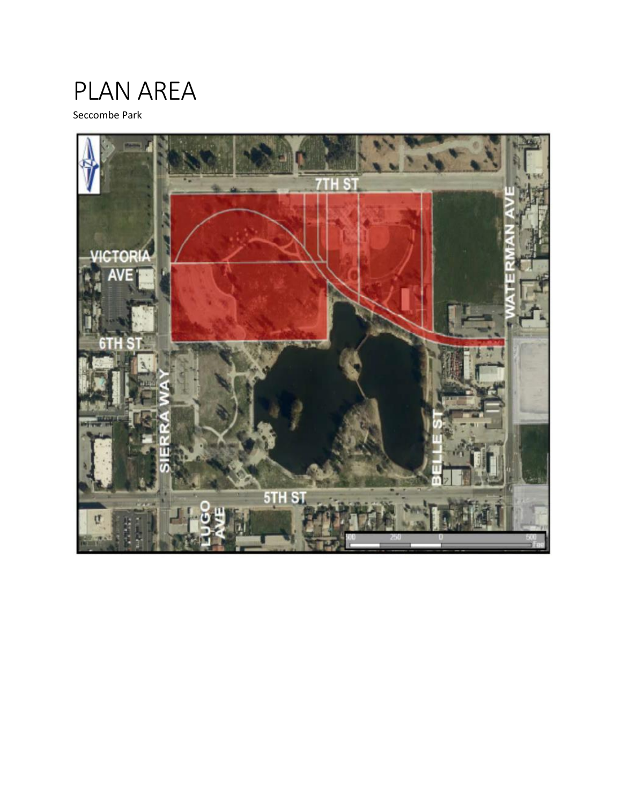## PLAN AREA

Seccombe Park

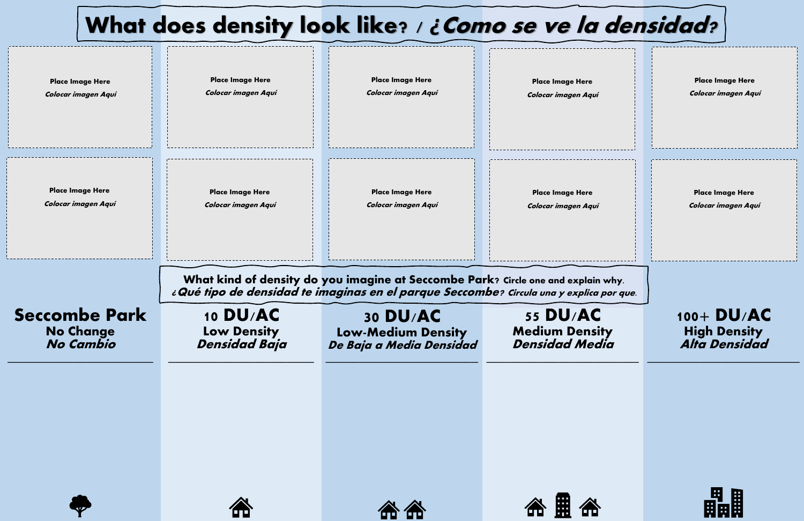| <b>Place Image Here</b><br>Colocar imagen Aquí | <b>Place Image Here</b><br>Colocar imagen Aquí                                                                                                                               | <b>Place Image Here</b><br>Colocar imagen Aquí                    | <b>Place Image Here</b><br>Colocar imagen Aquí             |  |
|------------------------------------------------|------------------------------------------------------------------------------------------------------------------------------------------------------------------------------|-------------------------------------------------------------------|------------------------------------------------------------|--|
| <b>Place Image Here</b><br>Colocar imagen Aquí | <b>Place Image Here</b><br>Colocar imagen Aquí                                                                                                                               | <b>Place Image Here</b><br>Colocar imagen Aquí                    | <b>Place Image Here</b><br>Colocar imagen Aquí             |  |
| <b>Seccombe Park</b>                           | What kind of density do you imagine at Seccombe Park? Circle one and explain why.<br>¿Qué tipo de densidad te imaginas en el parque Seccombe? Circula una y explica por que. |                                                                   |                                                            |  |
|                                                | 10 <b>DU/AC</b>                                                                                                                                                              |                                                                   |                                                            |  |
| <b>No Change</b><br><b>No Cambio</b>           | <b>Low Density</b><br><b>Densidad Baja</b>                                                                                                                                   | 30 DU/AC<br><b>Low-Medium Density</b><br>De Baja a Media Densidad | 55 DU/AC<br><b>Medium Density</b><br><b>Densidad Media</b> |  |
|                                                |                                                                                                                                                                              |                                                                   |                                                            |  |
|                                                |                                                                                                                                                                              |                                                                   |                                                            |  |

4D)







**AT** 

**THE** 

**ART** 

# **What does density look like? /** *¿***Como se ve la densidad?**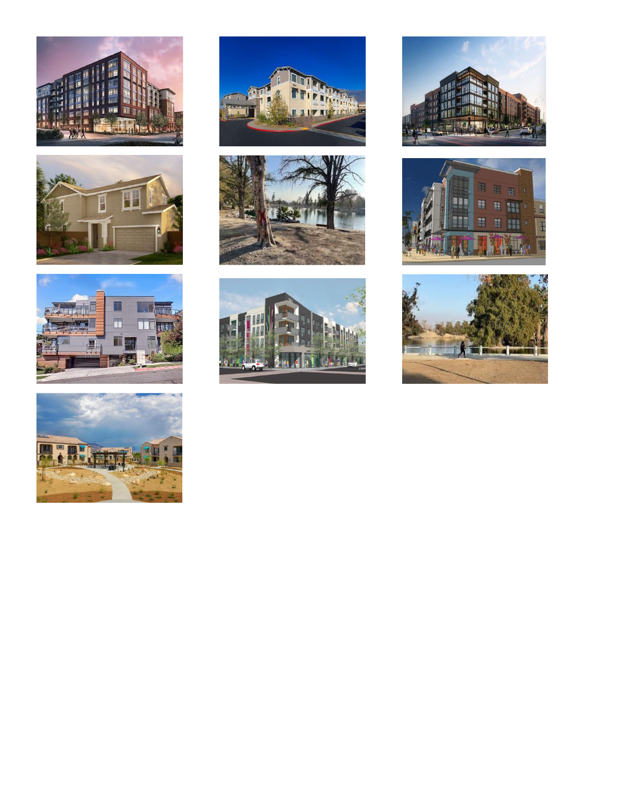

















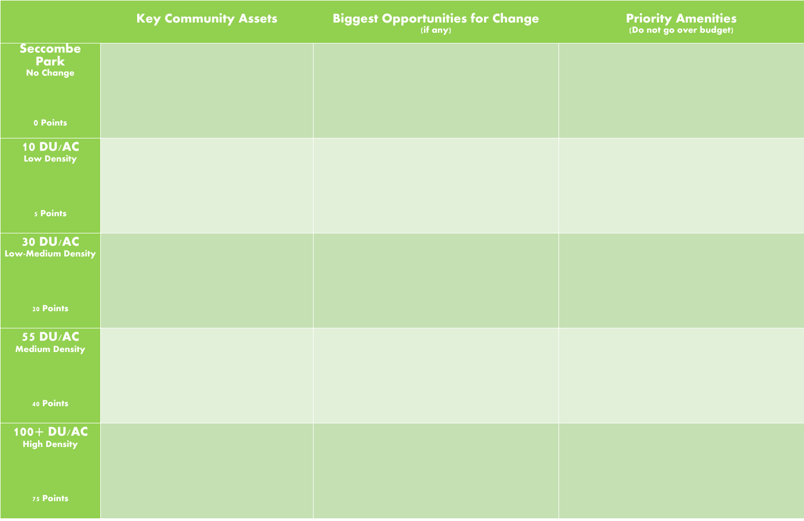### **Key Community Assets Biggest Opportunities for Change (if any)**

### **Priority Amenities (Do not go over budget)**

| Seccombe<br>Park<br><b>No Change</b>     |  |  |
|------------------------------------------|--|--|
| 0 Points                                 |  |  |
| <b>10 DU/AC</b><br><b>Low Density</b>    |  |  |
| 5 Points                                 |  |  |
| <b>30 DU/AC</b><br>Low-Medium Density    |  |  |
| 20 Points                                |  |  |
| <b>55 DU/AC</b><br><b>Medium Density</b> |  |  |
| 40 Points                                |  |  |
| $100 + DU/AC$<br><b>High Density</b>     |  |  |
| <b>75 Points</b>                         |  |  |